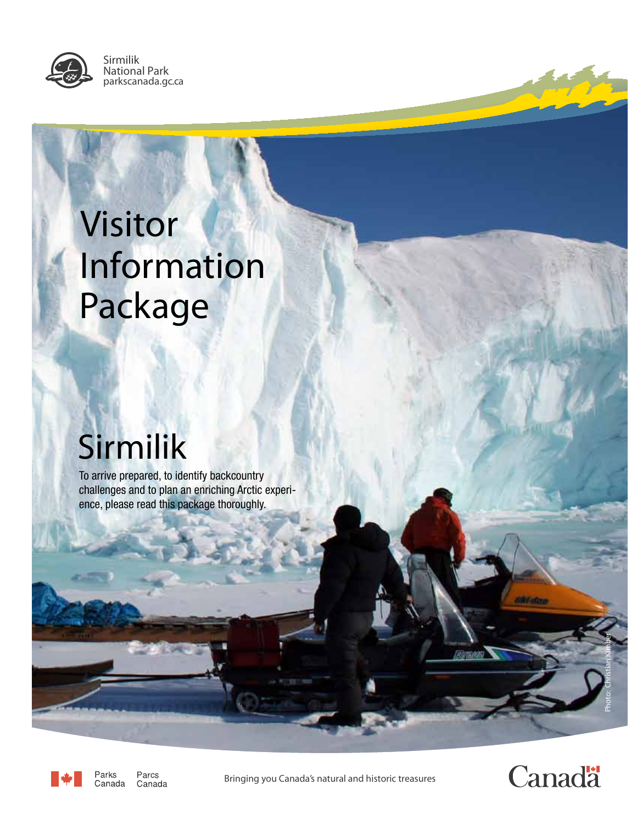

Sirmilik National Park parkscanada.gc.ca

# Visitor Information Package

# Sirmilik

To arrive prepared, to identify backcountry challenges and to plan an enriching Arctic experience, please read this package thoroughly.



Parks Parcs Canada Canada

*Bringing you Canada's natural and historic treasures*



Photo: Christian Kimber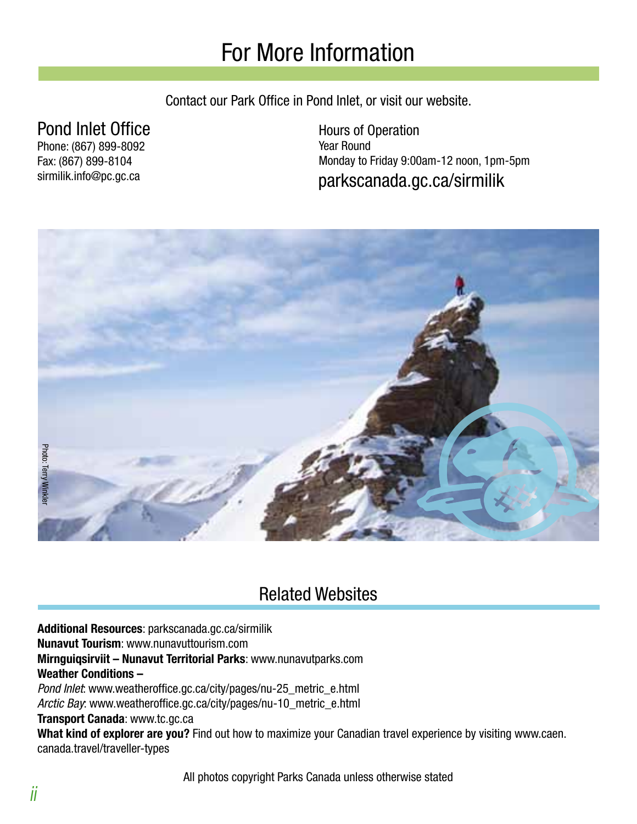### For More Information

Contact our Park Office in Pond Inlet, or visit our website.

#### Pond Inlet Office

Phone: (867) 899-8092 Fax: (867) 899-8104 sirmilik.info@pc.gc.ca

parkscanada.gc.ca/sirmilik Hours of Operation Year Round Monday to Friday 9:00am-12 noon, 1pm-5pm



### Related Websites

**Additional Resources**: parkscanada.gc.ca/sirmilik

**Nunavut Tourism**: www.nunavuttourism.com

**Mirnguiqsirviit – Nunavut Territorial Parks**: www.nunavutparks.com **Weather Conditions –**

Pond Inlet: www.weatheroffice.gc.ca/city/pages/nu-25\_metric\_e.html Arctic Bay: www.weatheroffice.gc.ca/city/pages/nu-10\_metric\_e.html

**Transport Canada**: www.tc.gc.ca

**What kind of explorer are you?** Find out how to maximize your Canadian travel experience by visiting www.caen. canada.travel/traveller-types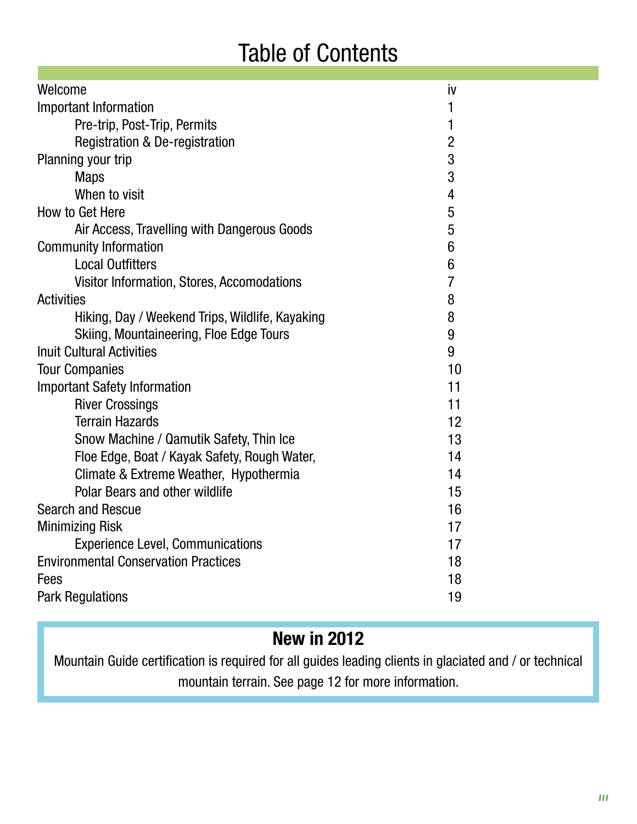### Table of Contents

| Welcome                                         | İV             |
|-------------------------------------------------|----------------|
| <b>Important Information</b>                    | 1              |
| Pre-trip, Post-Trip, Permits                    | 1              |
| <b>Registration &amp; De-registration</b>       | $\overline{2}$ |
| Planning your trip                              | $\overline{3}$ |
| <b>Maps</b>                                     | 3              |
| When to visit                                   | 4              |
| How to Get Here                                 | 5              |
| Air Access, Travelling with Dangerous Goods     | 5              |
| <b>Community Information</b>                    | 6              |
| <b>Local Outfitters</b>                         | 6              |
| Visitor Information, Stores, Accomodations      | $\overline{I}$ |
| <b>Activities</b>                               | 8              |
| Hiking, Day / Weekend Trips, Wildlife, Kayaking | 8              |
| Skiing, Mountaineering, Floe Edge Tours         | 9              |
| <b>Inuit Cultural Activities</b>                | 9              |
| <b>Tour Companies</b>                           | 10             |
| <b>Important Safety Information</b>             | 11             |
| <b>River Crossings</b>                          | 11             |
| <b>Terrain Hazards</b>                          | 12             |
| Snow Machine / Qamutik Safety, Thin Ice         | 13             |
| Floe Edge, Boat / Kayak Safety, Rough Water,    | 14             |
| Climate & Extreme Weather, Hypothermia          | 14             |
| <b>Polar Bears and other wildlife</b>           | 15             |
| <b>Search and Rescue</b>                        | 16             |
| <b>Minimizing Risk</b>                          | 17             |
| <b>Experience Level, Communications</b>         | 17             |
| <b>Environmental Conservation Practices</b>     | 18             |
| Fees                                            | 18             |
| <b>Park Regulations</b>                         | 19             |
|                                                 |                |

### **New in 2012**

Mountain Guide certification is required for all guides leading clients in glaciated and / or technical mountain terrain. See page 12 for more information.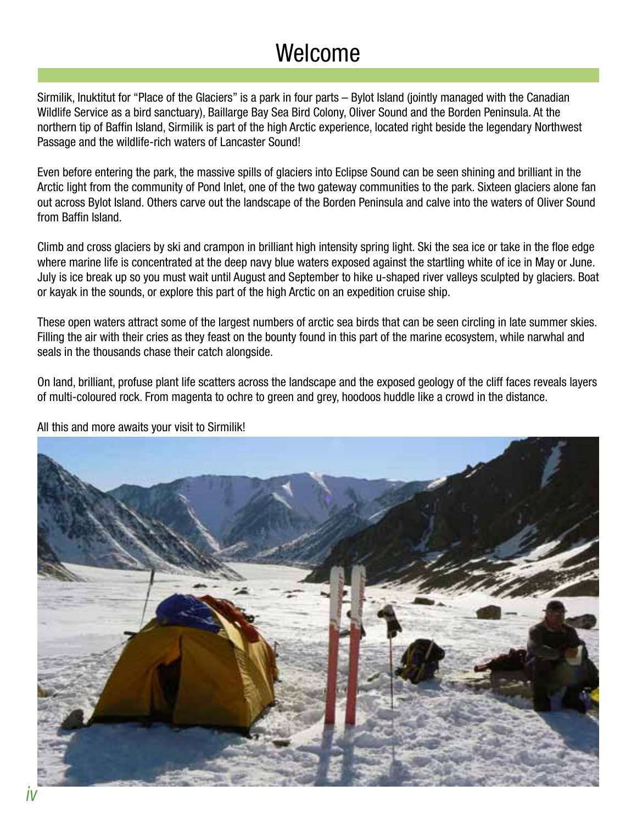### Welcome

Sirmilik, Inuktitut for "Place of the Glaciers" is a park in four parts – Bylot Island (jointly managed with the Canadian Wildlife Service as a bird sanctuary), Baillarge Bay Sea Bird Colony, Oliver Sound and the Borden Peninsula. At the northern tip of Baffin Island, Sirmilik is part of the high Arctic experience, located right beside the legendary Northwest Passage and the wildlife-rich waters of Lancaster Sound!

Even before entering the park, the massive spills of glaciers into Eclipse Sound can be seen shining and brilliant in the Arctic light from the community of Pond Inlet, one of the two gateway communities to the park. Sixteen glaciers alone fan out across Bylot Island. Others carve out the landscape of the Borden Peninsula and calve into the waters of Oliver Sound from Baffin Island.

Climb and cross glaciers by ski and crampon in brilliant high intensity spring light. Ski the sea ice or take in the floe edge where marine life is concentrated at the deep navy blue waters exposed against the startling white of ice in May or June. July is ice break up so you must wait until August and September to hike u-shaped river valleys sculpted by glaciers. Boat or kayak in the sounds, or explore this part of the high Arctic on an expedition cruise ship.

These open waters attract some of the largest numbers of arctic sea birds that can be seen circling in late summer skies. Filling the air with their cries as they feast on the bounty found in this part of the marine ecosystem, while narwhal and seals in the thousands chase their catch alongside.

On land, brilliant, profuse plant life scatters across the landscape and the exposed geology of the cliff faces reveals layers of multi-coloured rock. From magenta to ochre to green and grey, hoodoos huddle like a crowd in the distance.



All this and more awaits your visit to Sirmilik!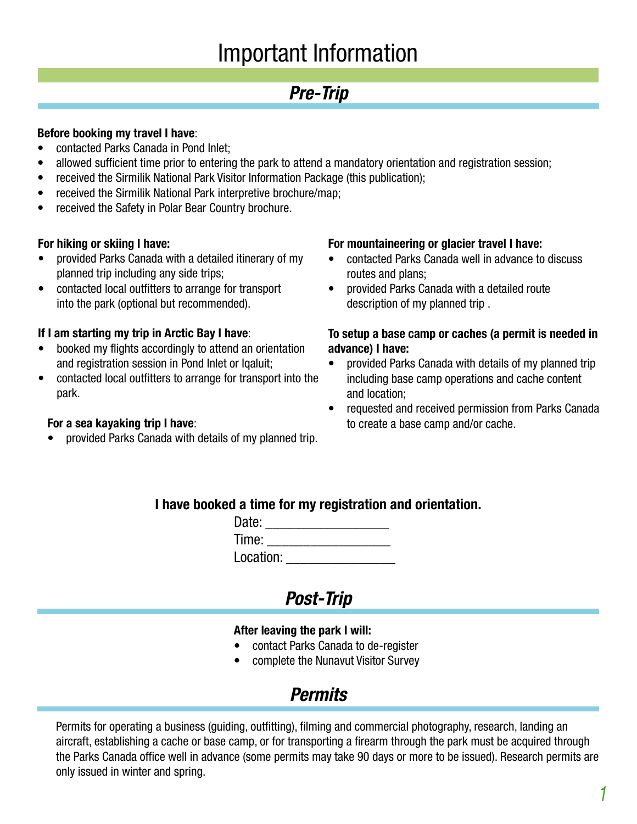### Important Information

#### **Pre-Trip**

#### **Before booking my travel I have**:

- contacted Parks Canada in Pond Inlet;
- allowed sufficient time prior to entering the park to attend a mandatory orientation and registration session;
- received the Sirmilik National Park Visitor Information Package (this publication);
- received the Sirmilik National Park interpretive brochure/map;
- received the Safety in Polar Bear Country brochure.

#### **For hiking or skiing I have:**

- provided Parks Canada with a detailed itinerary of my planned trip including any side trips;
- • contacted local outfitters to arrange for transport into the park (optional but recommended).

#### **If I am starting my trip in Arctic Bay I have**:

- booked my flights accordingly to attend an orientation and registration session in Pond Inlet or Iqaluit;
- contacted local outfitters to arrange for transport into the park.

#### **For a sea kayaking trip I have**:

provided Parks Canada with details of my planned trip.

#### **For mountaineering or glacier travel I have:**

- contacted Parks Canada well in advance to discuss routes and plans;
- • provided Parks Canada with a detailed route description of my planned trip .

#### **To setup a base camp or caches (a permit is needed in advance) I have:**

- provided Parks Canada with details of my planned trip including base camp operations and cache content and location;
- requested and received permission from Parks Canada to create a base camp and/or cache.

#### **I have booked a time for my registration and orientation.**

| Date:     |  |
|-----------|--|
| Time:     |  |
| Location: |  |

#### **Post-Trip**

#### **After leaving the park I will:**

- contact Parks Canada to de-register
- complete the Nunavut Visitor Survey

#### **Permits**

Permits for operating a business (guiding, outfitting), filming and commercial photography, research, landing an aircraft, establishing a cache or base camp, or for transporting a firearm through the park must be acquired through the Parks Canada office well in advance (some permits may take 90 days or more to be issued). Research permits are only issued in winter and spring.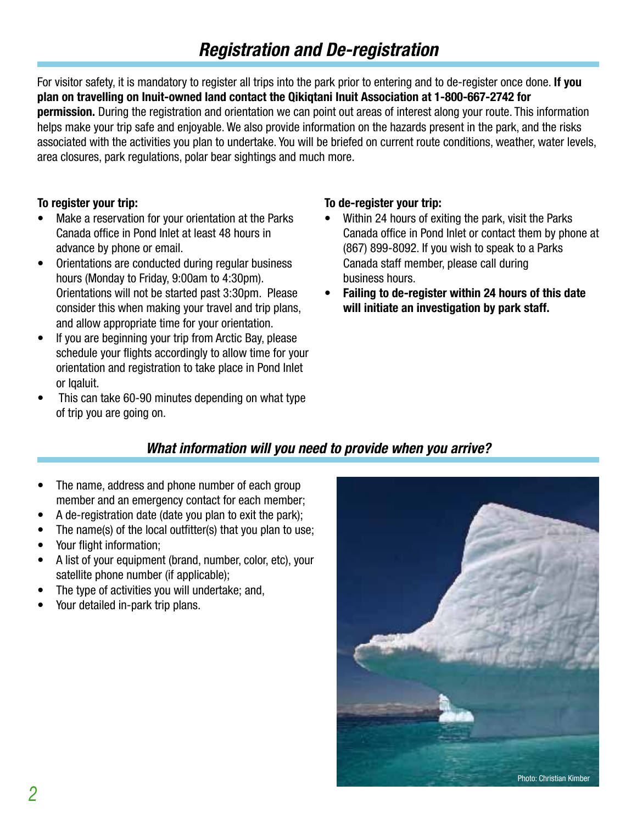### **Registration and De-registration**

For visitor safety, it is mandatory to register all trips into the park prior to entering and to de-register once done. **If you plan on travelling on Inuit-owned land contact the Qikiqtani Inuit Association at 1-800-667-2742 for permission.** During the registration and orientation we can point out areas of interest along your route. This information helps make your trip safe and enjoyable. We also provide information on the hazards present in the park, and the risks associated with the activities you plan to undertake. You will be briefed on current route conditions, weather, water levels, area closures, park regulations, polar bear sightings and much more.

#### **To register your trip:**

- Make a reservation for your orientation at the Parks Canada office in Pond Inlet at least 48 hours in advance by phone or email.
- Orientations are conducted during regular business hours (Monday to Friday, 9:00am to 4:30pm). Orientations will not be started past 3:30pm. Please consider this when making your travel and trip plans, and allow appropriate time for your orientation.
- If you are beginning your trip from Arctic Bay, please schedule your flights accordingly to allow time for your orientation and registration to take place in Pond Inlet or Iqaluit.
- This can take 60-90 minutes depending on what type of trip you are going on.

#### **To de-register your trip:**

- Within 24 hours of exiting the park, visit the Parks Canada office in Pond Inlet or contact them by phone at (867) 899-8092. If you wish to speak to a Parks Canada staff member, please call during business hours.
- **Failing to de-register within 24 hours of this date will initiate an investigation by park staff.**

#### **What information will you need to provide when you arrive?**

- The name, address and phone number of each group member and an emergency contact for each member;
- A de-registration date (date you plan to exit the park);
- The name(s) of the local outfitter(s) that you plan to use;
- Your flight information;
- A list of your equipment (brand, number, color, etc), your satellite phone number (if applicable);
- The type of activities you will undertake; and,
- Your detailed in-park trip plans.

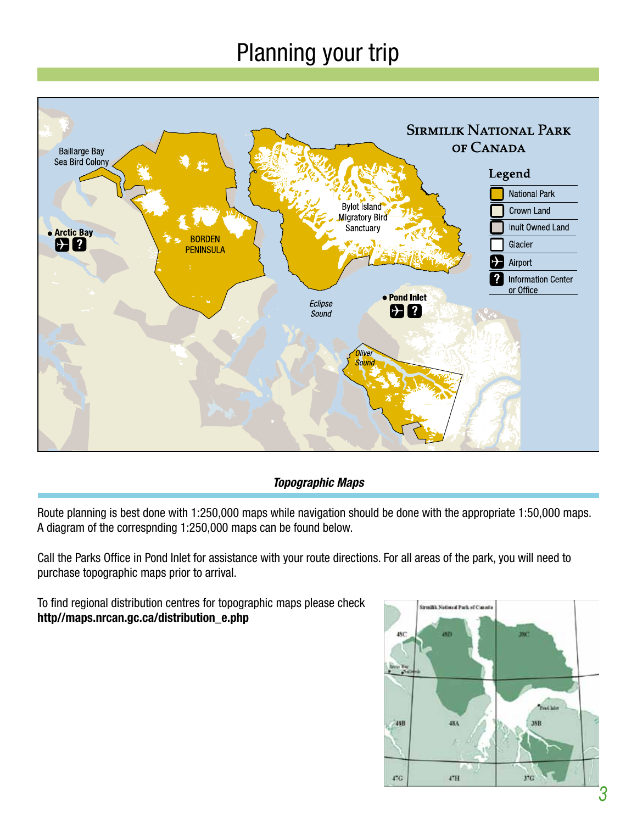### Planning your trip



#### **Topographic Maps**

Route planning is best done with 1:250,000 maps while navigation should be done with the appropriate 1:50,000 maps. A diagram of the correspnding 1:250,000 maps can be found below.

Call the Parks Office in Pond Inlet for assistance with your route directions. For all areas of the park, you will need to purchase topographic maps prior to arrival.

To find regional distribution centres for topographic maps please check **http//maps.nrcan.gc.ca/distribution\_e.php**

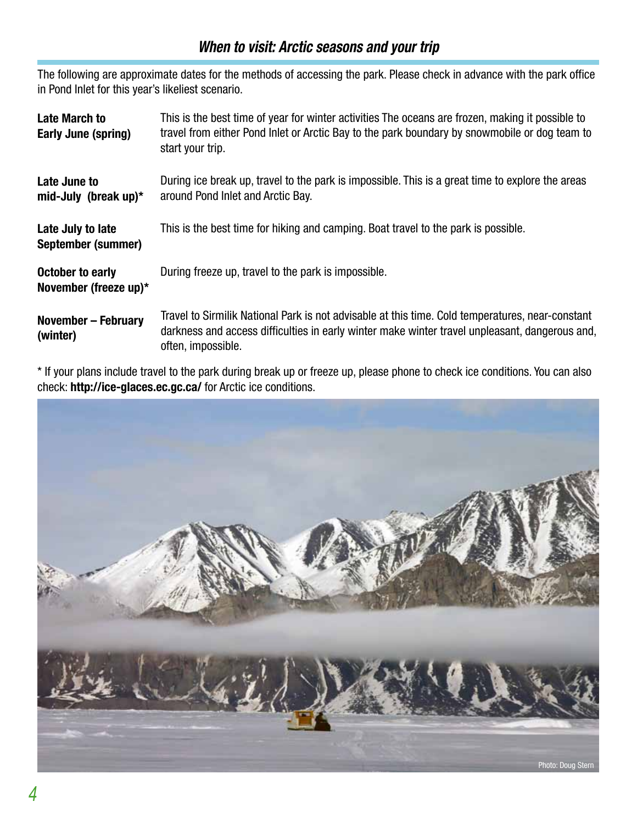#### **When to visit: Arctic seasons and your trip**

The following are approximate dates for the methods of accessing the park. Please check in advance with the park office in Pond Inlet for this year's likeliest scenario.

| <b>Late March to</b><br>Early June (spring)      | This is the best time of year for winter activities The oceans are frozen, making it possible to<br>travel from either Pond Inlet or Arctic Bay to the park boundary by snowmobile or dog team to<br>start your trip.    |
|--------------------------------------------------|--------------------------------------------------------------------------------------------------------------------------------------------------------------------------------------------------------------------------|
| Late June to<br>mid-July (break up) $*$          | During ice break up, travel to the park is impossible. This is a great time to explore the areas<br>around Pond Inlet and Arctic Bay.                                                                                    |
| Late July to late<br>September (summer)          | This is the best time for hiking and camping. Boat travel to the park is possible.                                                                                                                                       |
| <b>October to early</b><br>November (freeze up)* | During freeze up, travel to the park is impossible.                                                                                                                                                                      |
| <b>November - February</b><br>(winter)           | Travel to Sirmilik National Park is not advisable at this time. Cold temperatures, near-constant<br>darkness and access difficulties in early winter make winter travel unpleasant, dangerous and,<br>often, impossible. |

\* If your plans include travel to the park during break up or freeze up, please phone to check ice conditions. You can also check: **http://ice-glaces.ec.gc.ca/** for Arctic ice conditions.

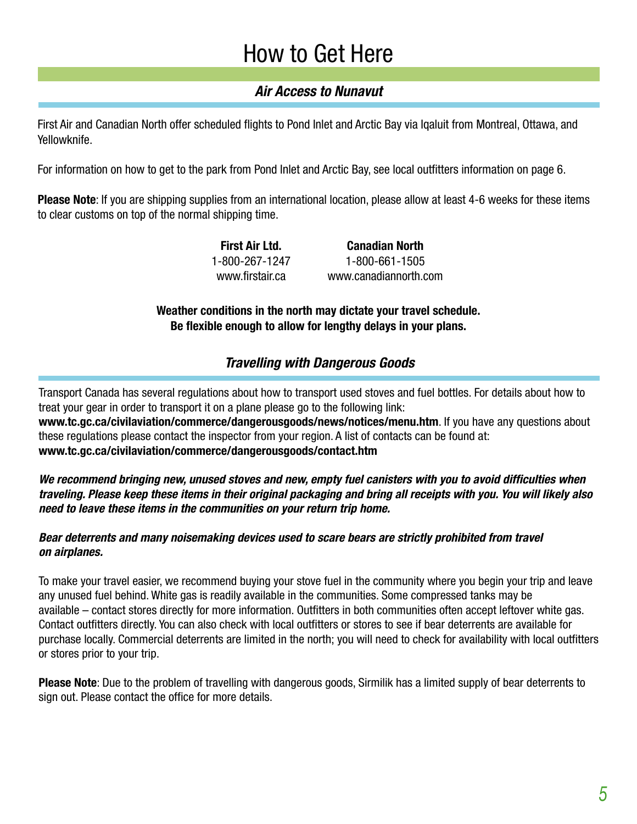### How to Get Here

#### **Air Access to Nunavut**

First Air and Canadian North offer scheduled flights to Pond Inlet and Arctic Bay via Iqaluit from Montreal, Ottawa, and Yellowknife.

For information on how to get to the park from Pond Inlet and Arctic Bay, see local outfitters information on page 6.

**Please Note**: If you are shipping supplies from an international location, please allow at least 4-6 weeks for these items to clear customs on top of the normal shipping time.

> **First Air Ltd.** 1-800-267-1247 www.firstair.ca **Canadian North** 1-800-661-1505 www.canadiannorth.com

**Weather conditions in the north may dictate your travel schedule. Be flexible enough to allow for lengthy delays in your plans.**

#### **Travelling with Dangerous Goods**

Transport Canada has several regulations about how to transport used stoves and fuel bottles. For details about how to treat your gear in order to transport it on a plane please go to the following link:

**www.tc.gc.ca/civilaviation/commerce/dangerousgoods/news/notices/menu.htm**. If you have any questions about these regulations please contact the inspector from your region. A list of contacts can be found at: **www.tc.gc.ca/civilaviation/commerce/dangerousgoods/contact.htm**

**We recommend bringing new, unused stoves and new, empty fuel canisters with you to avoid difficulties when traveling. Please keep these items in their original packaging and bring all receipts with you. You will likely also need to leave these items in the communities on your return trip home.**

#### **Bear deterrents and many noisemaking devices used to scare bears are strictly prohibited from travel on airplanes.**

To make your travel easier, we recommend buying your stove fuel in the community where you begin your trip and leave any unused fuel behind. White gas is readily available in the communities. Some compressed tanks may be available – contact stores directly for more information. Outfitters in both communities often accept leftover white gas. Contact outfitters directly. You can also check with local outfitters or stores to see if bear deterrents are available for purchase locally. Commercial deterrents are limited in the north; you will need to check for availability with local outfitters or stores prior to your trip.

**Please Note**: Due to the problem of travelling with dangerous goods, Sirmilik has a limited supply of bear deterrents to sign out. Please contact the office for more details.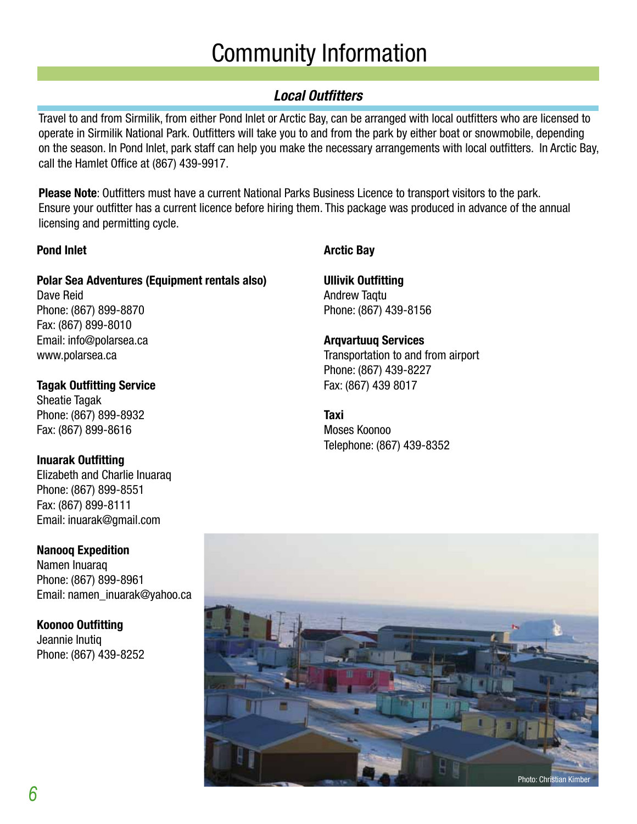### Community Information

#### **Local Outfitters**

Travel to and from Sirmilik, from either Pond Inlet or Arctic Bay, can be arranged with local outfitters who are licensed to operate in Sirmilik National Park. Outfitters will take you to and from the park by either boat or snowmobile, depending on the season. In Pond Inlet, park staff can help you make the necessary arrangements with local outfitters. In Arctic Bay, call the Hamlet Office at (867) 439-9917.

**Please Note**: Outfitters must have a current National Parks Business Licence to transport visitors to the park. Ensure your outfitter has a current licence before hiring them. This package was produced in advance of the annual licensing and permitting cycle.

#### **Pond Inlet**

#### **Polar Sea Adventures (Equipment rentals also)**

Dave Reid Phone: (867) 899-8870 Fax: (867) 899-8010 Email: info@polarsea.ca www.polarsea.ca

**Tagak Outfitting Service** Sheatie Tagak Phone: (867) 899-8932 Fax: (867) 899-8616

#### **Inuarak Outfitting**

Elizabeth and Charlie Inuaraq Phone: (867) 899-8551 Fax: (867) 899-8111 Email: inuarak@gmail.com

#### **Nanooq Expedition**

Namen Inuaraq Phone: (867) 899-8961 Email: namen\_inuarak@yahoo.ca

#### **Koonoo Outfitting**

Jeannie Inutiq Phone: (867) 439-8252

#### **Arctic Bay**

**Ullivik Outfitting** Andrew Taqtu Phone: (867) 439-8156

#### **Arqvartuuq Services**

Transportation to and from airport Phone: (867) 439-8227 Fax: (867) 439 8017

**Taxi** Moses Koonoo Telephone: (867) 439-8352

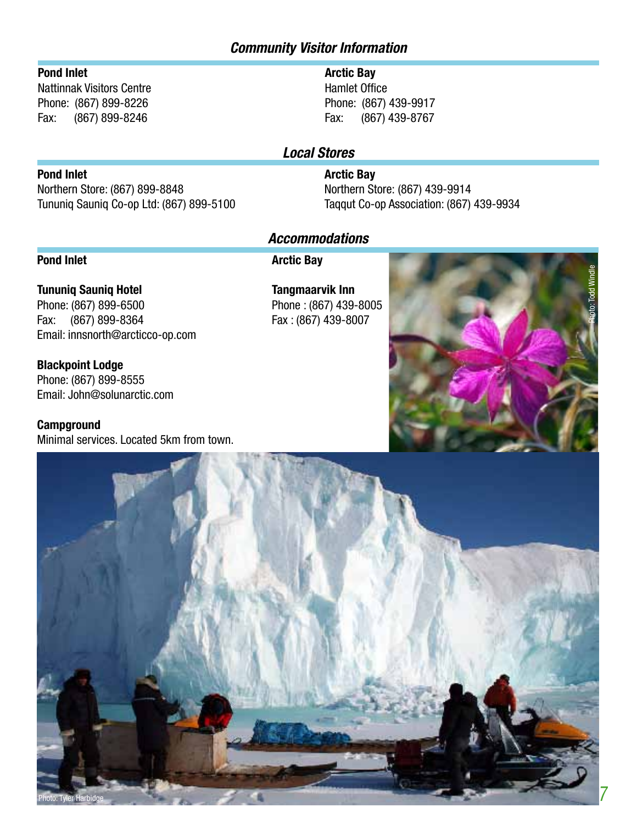#### **Community Visitor Information**

#### **Pond Inlet**

Nattinnak Visitors Centre Phone: (867) 899-8226 Fax: (867) 899-8246

#### **Arctic Bay**

Hamlet Office Phone: (867) 439-9917 Fax: (867) 439-8767

#### **Local Stores**

#### **Arctic Bay**

Northern Store: (867) 439-9914 Taqqut Co-op Association: (867) 439-9934

#### **Accommodations**

#### **Pond Inlet**

**Pond Inlet**

**Arctic Bay**

**Tununiq Sauniq Hotel** Phone: (867) 899-6500 Fax: (867) 899-8364 Email: innsnorth@arcticco-op.com

Northern Store: (867) 899-8848

Tununiq Sauniq Co-op Ltd: (867) 899-5100

**Blackpoint Lodge** Phone: (867) 899-8555 Email: John@solunarctic.com

**Campground** Minimal services. Located 5km from town.

**Tangmaarvik Inn** Phone : (867) 439-8005 Fax : (867) 439-8007



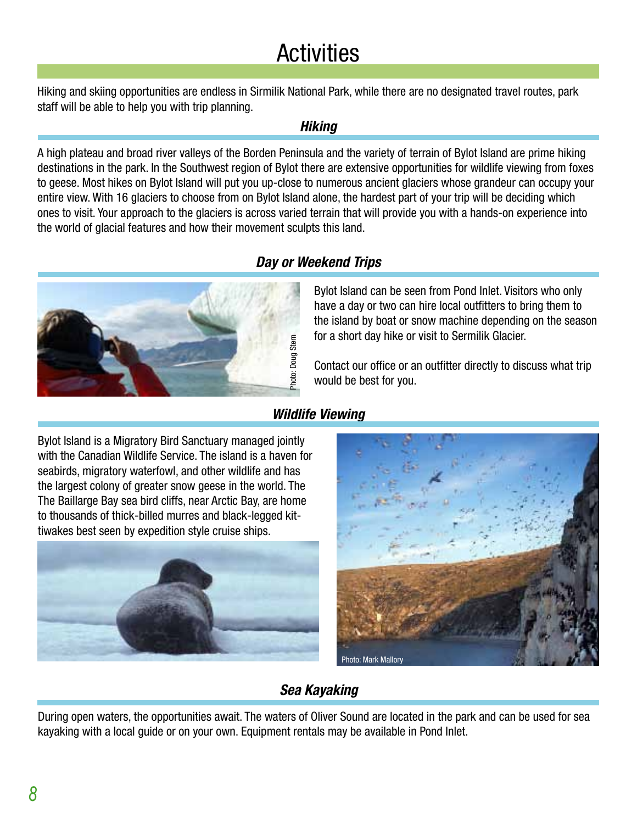## **Activities**

Hiking and skiing opportunities are endless in Sirmilik National Park, while there are no designated travel routes, park staff will be able to help you with trip planning.

#### **Hiking**

A high plateau and broad river valleys of the Borden Peninsula and the variety of terrain of Bylot Island are prime hiking destinations in the park. In the Southwest region of Bylot there are extensive opportunities for wildlife viewing from foxes to geese. Most hikes on Bylot Island will put you up-close to numerous ancient glaciers whose grandeur can occupy your entire view. With 16 glaciers to choose from on Bylot Island alone, the hardest part of your trip will be deciding which ones to visit. Your approach to the glaciers is across varied terrain that will provide you with a hands-on experience into the world of glacial features and how their movement sculpts this land.





Bylot Island can be seen from Pond Inlet. Visitors who only have a day or two can hire local outfitters to bring them to the island by boat or snow machine depending on the season for a short day hike or visit to Sermilik Glacier.

Contact our office or an outfitter directly to discuss what trip would be best for you.

#### **Wildlife Viewing**

Bylot Island is a Migratory Bird Sanctuary managed jointly with the Canadian Wildlife Service. The island is a haven for seabirds, migratory waterfowl, and other wildlife and has the largest colony of greater snow geese in the world. The The Baillarge Bay sea bird cliffs, near Arctic Bay, are home to thousands of thick-billed murres and black-legged kit-Wild<br>Bylot Island is a Migratory Bird Sanctuary managed joint<br>with the Canadian Wildlife Service. The island is a haven<br>seabirds, migratory waterfowl, and other wildlife and has<br>the largest colony of greater snow geese in





#### **Sea Kayaking**

During open waters, the opportunities await. The waters of Oliver Sound are located in the park and can be used for sea kayaking with a local guide or on your own. Equipment rentals may be available in Pond Inlet.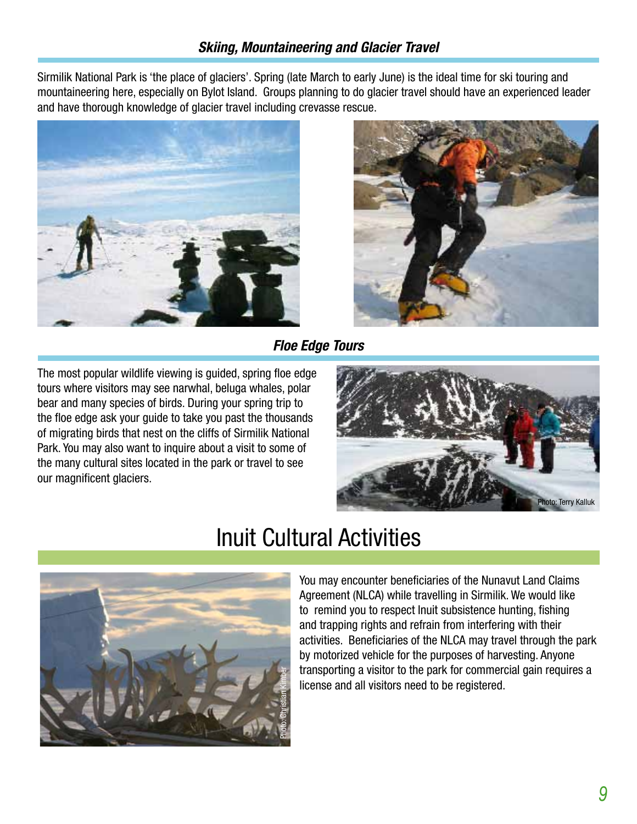Sirmilik National Park is 'the place of glaciers'. Spring (late March to early June) is the ideal time for ski touring and mountaineering here, especially on Bylot Island. Groups planning to do glacier travel should have an experienced leader and have thorough knowledge of glacier travel including crevasse rescue.





**Floe Edge Tours**

The most popular wildlife viewing is guided, spring floe edge tours where visitors may see narwhal, beluga whales, polar bear and many species of birds. During your spring trip to the floe edge ask your guide to take you past the thousands of migrating birds that nest on the cliffs of Sirmilik National Park. You may also want to inquire about a visit to some of the many cultural sites located in the park or travel to see our magnificent glaciers.





### Inuit Cultural Activities

You may encounter beneficiaries of the Nunavut Land Claims Agreement (NLCA) while travelling in Sirmilik. We would like to remind you to respect Inuit subsistence hunting, fishing and trapping rights and refrain from interfering with their activities. Beneficiaries of the NLCA may travel through the park by motorized vehicle for the purposes of harvesting. Anyone transporting a visitor to the park for commercial gain requires a license and all visitors need to be registered.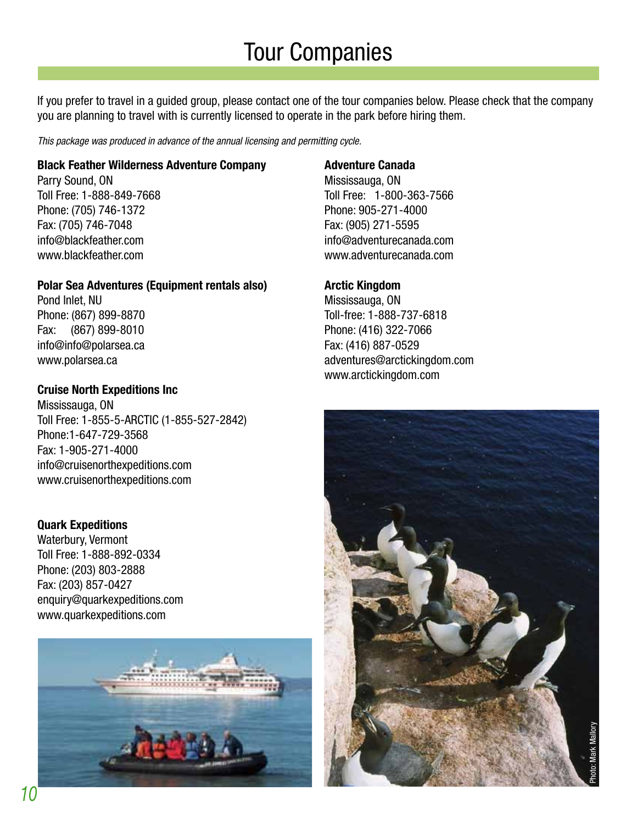### Tour Companies

If you prefer to travel in a guided group, please contact one of the tour companies below. Please check that the company you are planning to travel with is currently licensed to operate in the park before hiring them.

This package was produced in advance of the annual licensing and permitting cycle.

#### **Black Feather Wilderness Adventure Company**

Parry Sound, ON Toll Free: 1-888-849-7668 Phone: (705) 746-1372 Fax: (705) 746-7048 info@blackfeather.com www.blackfeather.com

#### **Polar Sea Adventures (Equipment rentals also)**

Pond Inlet, NU Phone: (867) 899-8870 Fax: (867) 899-8010 info@info@polarsea.ca www.polarsea.ca

#### **Cruise North Expeditions Inc**

Mississauga, ON Toll Free: 1-855-5-ARCTIC (1-855-527-2842) Phone:1-647-729-3568 Fax: 1-905-271-4000 info@cruisenorthexpeditions.com www.cruisenorthexpeditions.com

#### **Quark Expeditions**

Waterbury, Vermont Toll Free: 1-888-892-0334 Phone: (203) 803-2888 Fax: (203) 857-0427 enquiry@quarkexpeditions.com www.quarkexpeditions.com



#### **Adventure Canada**

Mississauga, ON Toll Free: 1-800-363-7566 Phone: 905-271-4000 Fax: (905) 271-5595 info@adventurecanada.com www.adventurecanada.com

#### **Arctic Kingdom**

Mississauga, ON Toll-free: 1-888-737-6818 Phone: (416) 322-7066 Fax: (416) 887-0529 adventures@arctickingdom.com www.arctickingdom.com

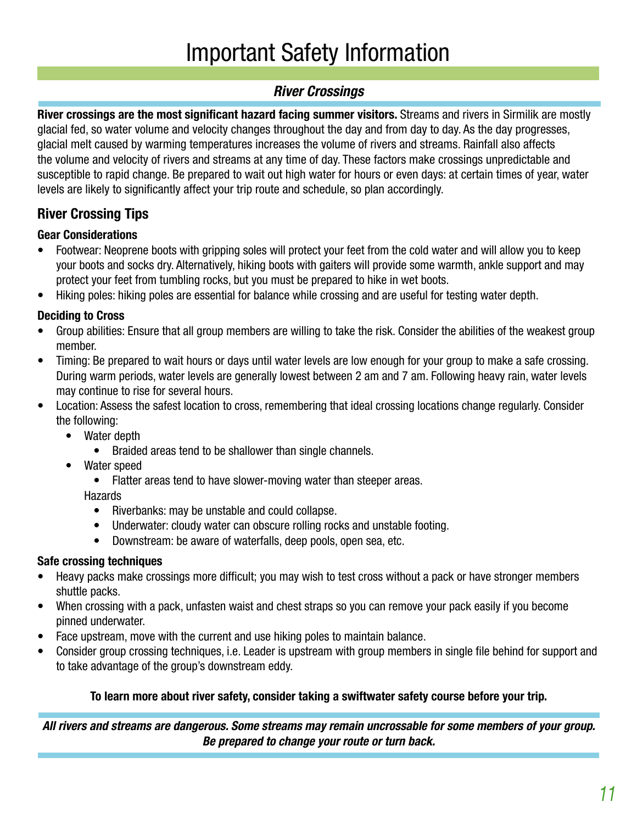## Important Safety Information

#### **River Crossings**

**River crossings are the most significant hazard facing summer visitors.** Streams and rivers in Sirmilik are mostly glacial fed, so water volume and velocity changes throughout the day and from day to day. As the day progresses, glacial melt caused by warming temperatures increases the volume of rivers and streams. Rainfall also affects the volume and velocity of rivers and streams at any time of day. These factors make crossings unpredictable and susceptible to rapid change. Be prepared to wait out high water for hours or even days: at certain times of year, water levels are likely to significantly affect your trip route and schedule, so plan accordingly.

#### **River Crossing Tips**

#### **Gear Considerations**

- Footwear: Neoprene boots with gripping soles will protect your feet from the cold water and will allow you to keep your boots and socks dry. Alternatively, hiking boots with gaiters will provide some warmth, ankle support and may protect your feet from tumbling rocks, but you must be prepared to hike in wet boots.
- Hiking poles: hiking poles are essential for balance while crossing and are useful for testing water depth.

#### **Deciding to Cross**

- Group abilities: Ensure that all group members are willing to take the risk. Consider the abilities of the weakest group member.
- Timing: Be prepared to wait hours or days until water levels are low enough for your group to make a safe crossing. During warm periods, water levels are generally lowest between 2 am and 7 am. Following heavy rain, water levels may continue to rise for several hours.
- Location: Assess the safest location to cross, remembering that ideal crossing locations change regularly. Consider the following:
	- Water depth
		- Braided areas tend to be shallower than single channels.
	- Water speed
		- Flatter areas tend to have slower-moving water than steeper areas.

#### Hazards

- Riverbanks: may be unstable and could collapse.
- Underwater: cloudy water can obscure rolling rocks and unstable footing.
- Downstream: be aware of waterfalls, deep pools, open sea, etc.

#### **Safe crossing techniques**

- Heavy packs make crossings more difficult; you may wish to test cross without a pack or have stronger members shuttle packs.
- When crossing with a pack, unfasten waist and chest straps so you can remove your pack easily if you become pinned underwater.
- Face upstream, move with the current and use hiking poles to maintain balance.
- Consider group crossing techniques, i.e. Leader is upstream with group members in single file behind for support and to take advantage of the group's downstream eddy.

#### **To learn more about river safety, consider taking a swiftwater safety course before your trip.**

**All rivers and streams are dangerous. Some streams may remain uncrossable for some members of your group. Be prepared to change your route or turn back.**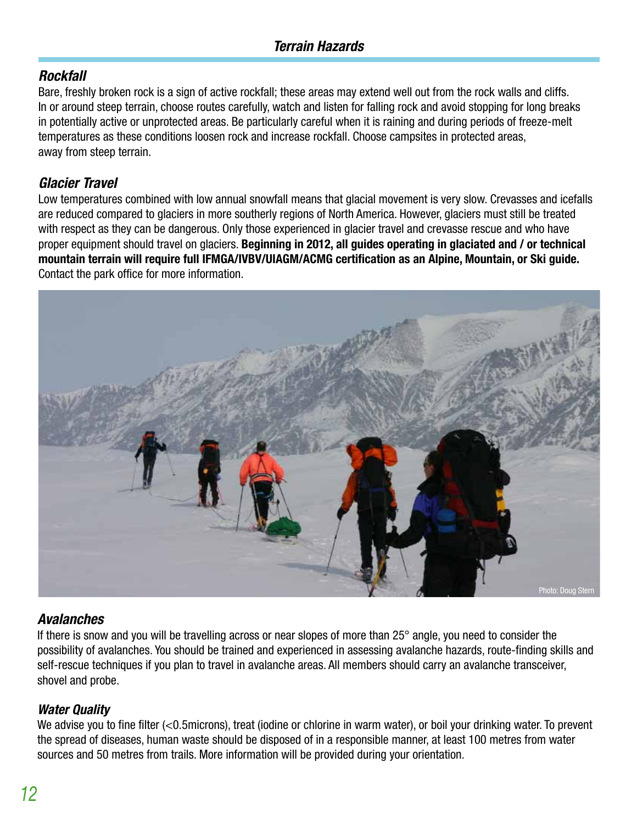#### **Rockfall**

Bare, freshly broken rock is a sign of active rockfall; these areas may extend well out from the rock walls and cliffs. In or around steep terrain, choose routes carefully, watch and listen for falling rock and avoid stopping for long breaks in potentially active or unprotected areas. Be particularly careful when it is raining and during periods of freeze-melt temperatures as these conditions loosen rock and increase rockfall. Choose campsites in protected areas, away from steep terrain.

#### **Glacier Travel**

Low temperatures combined with low annual snowfall means that glacial movement is very slow. Crevasses and icefalls are reduced compared to glaciers in more southerly regions of North America. However, glaciers must still be treated with respect as they can be dangerous. Only those experienced in glacier travel and crevasse rescue and who have proper equipment should travel on glaciers. **Beginning in 2012, all guides operating in glaciated and / or technical mountain terrain will require full IFMGA/IVBV/UIAGM/ACMG certification as an Alpine, Mountain, or Ski guide.**  Contact the park office for more information.



#### **Avalanches**

If there is snow and you will be travelling across or near slopes of more than 25° angle, you need to consider the possibility of avalanches. You should be trained and experienced in assessing avalanche hazards, route-finding skills and self-rescue techniques if you plan to travel in avalanche areas. All members should carry an avalanche transceiver, shovel and probe.

#### **Water Quality**

We advise you to fine filter (<0.5microns), treat (iodine or chlorine in warm water), or boil your drinking water. To prevent the spread of diseases, human waste should be disposed of in a responsible manner, at least 100 metres from water sources and 50 metres from trails. More information will be provided during your orientation.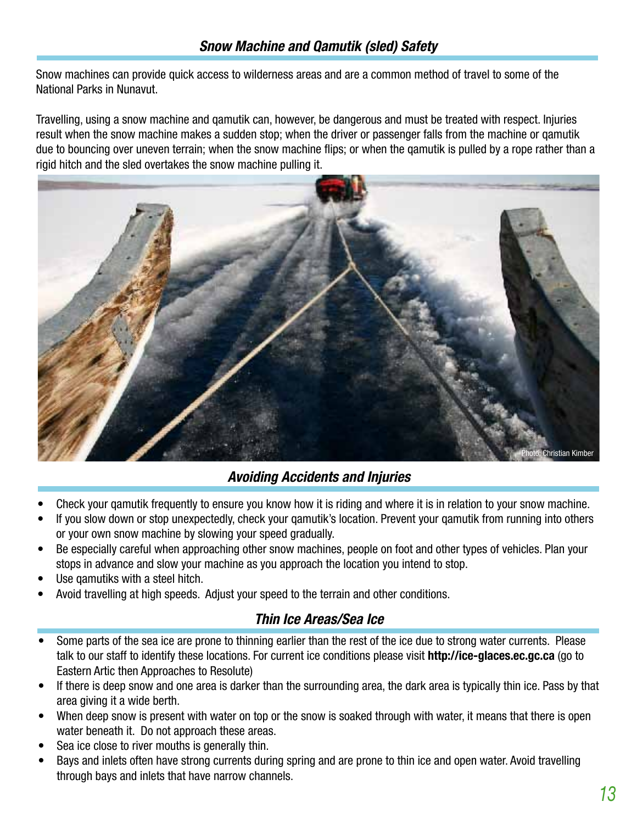Snow machines can provide quick access to wilderness areas and are a common method of travel to some of the National Parks in Nunavut.

Travelling, using a snow machine and qamutik can, however, be dangerous and must be treated with respect. Injuries result when the snow machine makes a sudden stop; when the driver or passenger falls from the machine or qamutik due to bouncing over uneven terrain; when the snow machine flips; or when the qamutik is pulled by a rope rather than a rigid hitch and the sled overtakes the snow machine pulling it.



#### **Avoiding Accidents and Injuries**

- Check your gamutik frequently to ensure you know how it is riding and where it is in relation to your snow machine.
- If you slow down or stop unexpectedly, check your qamutik's location. Prevent your qamutik from running into others or your own snow machine by slowing your speed gradually.
- Be especially careful when approaching other snow machines, people on foot and other types of vehicles. Plan your stops in advance and slow your machine as you approach the location you intend to stop.
- Use gamutiks with a steel hitch.
- Avoid travelling at high speeds. Adjust your speed to the terrain and other conditions.

#### **Thin Ice Areas/Sea Ice**

- Some parts of the sea ice are prone to thinning earlier than the rest of the ice due to strong water currents. Please talk to our staff to identify these locations. For current ice conditions please visit **http://ice-glaces.ec.gc.ca** (go to Eastern Artic then Approaches to Resolute)
- If there is deep snow and one area is darker than the surrounding area, the dark area is typically thin ice. Pass by that area giving it a wide berth.
- When deep snow is present with water on top or the snow is soaked through with water, it means that there is open water beneath it. Do not approach these areas.
- Sea ice close to river mouths is generally thin.
- Bays and inlets often have strong currents during spring and are prone to thin ice and open water. Avoid travelling through bays and inlets that have narrow channels.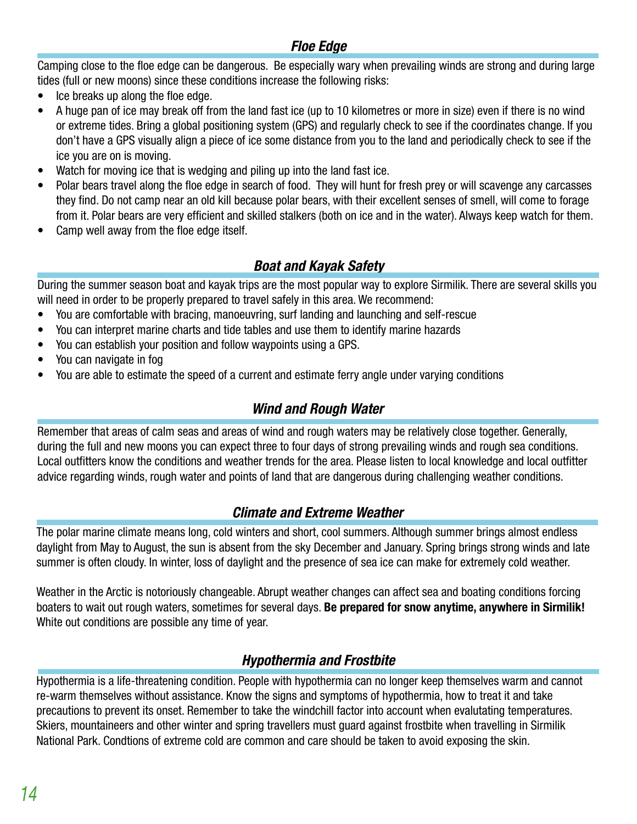#### **Floe Edge**

Camping close to the floe edge can be dangerous. Be especially wary when prevailing winds are strong and during large tides (full or new moons) since these conditions increase the following risks:

- Ice breaks up along the floe edge.
- A huge pan of ice may break off from the land fast ice (up to 10 kilometres or more in size) even if there is no wind or extreme tides. Bring a global positioning system (GPS) and regularly check to see if the coordinates change. If you don't have a GPS visually align a piece of ice some distance from you to the land and periodically check to see if the ice you are on is moving.
- Watch for moving ice that is wedging and piling up into the land fast ice.
- Polar bears travel along the floe edge in search of food. They will hunt for fresh prey or will scavenge any carcasses they find. Do not camp near an old kill because polar bears, with their excellent senses of smell, will come to forage from it. Polar bears are very efficient and skilled stalkers (both on ice and in the water). Always keep watch for them.
- Camp well away from the floe edge itself.

#### **Boat and Kayak Safety**

During the summer season boat and kayak trips are the most popular way to explore Sirmilik. There are several skills you will need in order to be properly prepared to travel safely in this area. We recommend:

- You are comfortable with bracing, manoeuvring, surf landing and launching and self-rescue
- You can interpret marine charts and tide tables and use them to identify marine hazards
- You can establish your position and follow waypoints using a GPS.
- You can navigate in fog
- You are able to estimate the speed of a current and estimate ferry angle under varying conditions

#### **Wind and Rough Water**

Remember that areas of calm seas and areas of wind and rough waters may be relatively close together. Generally, during the full and new moons you can expect three to four days of strong prevailing winds and rough sea conditions. Local outfitters know the conditions and weather trends for the area. Please listen to local knowledge and local outfitter advice regarding winds, rough water and points of land that are dangerous during challenging weather conditions.

#### **Climate and Extreme Weather**

The polar marine climate means long, cold winters and short, cool summers. Although summer brings almost endless daylight from May to August, the sun is absent from the sky December and January. Spring brings strong winds and late summer is often cloudy. In winter, loss of daylight and the presence of sea ice can make for extremely cold weather.

Weather in the Arctic is notoriously changeable. Abrupt weather changes can affect sea and boating conditions forcing boaters to wait out rough waters, sometimes for several days. **Be prepared for snow anytime, anywhere in Sirmilik!** White out conditions are possible any time of year.

#### **Hypothermia and Frostbite**

Hypothermia is a life-threatening condition. People with hypothermia can no longer keep themselves warm and cannot re-warm themselves without assistance. Know the signs and symptoms of hypothermia, how to treat it and take precautions to prevent its onset. Remember to take the windchill factor into account when evalutating temperatures. Skiers, mountaineers and other winter and spring travellers must guard against frostbite when travelling in Sirmilik National Park. Condtions of extreme cold are common and care should be taken to avoid exposing the skin.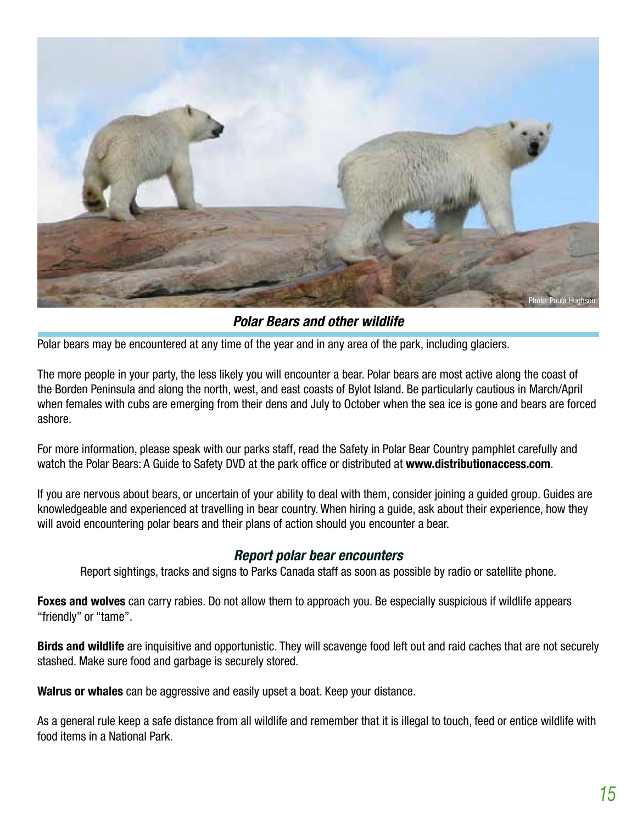

**Polar Bears and other wildlife**

Polar bears may be encountered at any time of the year and in any area of the park, including glaciers.

The more people in your party, the less likely you will encounter a bear. Polar bears are most active along the coast of the Borden Peninsula and along the north, west, and east coasts of Bylot Island. Be particularly cautious in March/April when females with cubs are emerging from their dens and July to October when the sea ice is gone and bears are forced ashore.

For more information, please speak with our parks staff, read the Safety in Polar Bear Country pamphlet carefully and watch the Polar Bears: A Guide to Safety DVD at the park office or distributed at **www.distributionaccess.com**.

If you are nervous about bears, or uncertain of your ability to deal with them, consider joining a guided group. Guides are knowledgeable and experienced at travelling in bear country. When hiring a guide, ask about their experience, how they will avoid encountering polar bears and their plans of action should you encounter a bear.

#### **Report polar bear encounters**

Report sightings, tracks and signs to Parks Canada staff as soon as possible by radio or satellite phone.

**Foxes and wolves** can carry rabies. Do not allow them to approach you. Be especially suspicious if wildlife appears "friendly" or "tame".

**Birds and wildlife** are inquisitive and opportunistic. They will scavenge food left out and raid caches that are not securely stashed. Make sure food and garbage is securely stored.

**Walrus or whales** can be aggressive and easily upset a boat. Keep your distance.

As a general rule keep a safe distance from all wildlife and remember that it is illegal to touch, feed or entice wildlife with food items in a National Park.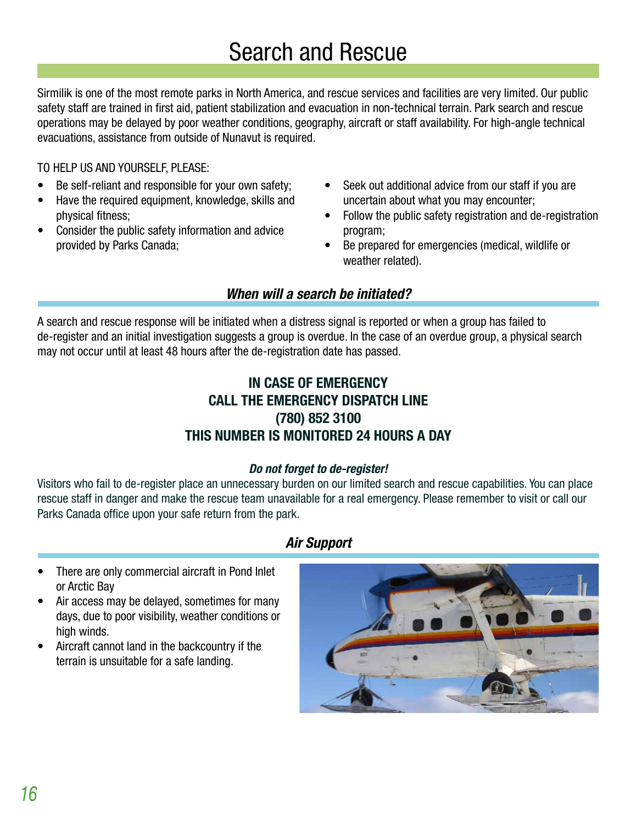Sirmilik is one of the most remote parks in North America, and rescue services and facilities are very limited. Our public safety staff are trained in first aid, patient stabilization and evacuation in non-technical terrain. Park search and rescue operations may be delayed by poor weather conditions, geography, aircraft or staff availability. For high-angle technical evacuations, assistance from outside of Nunavut is required.

TO HELP US AND YOURSELF, PLEASE:

- Be self-reliant and responsible for your own safety;
- Have the required equipment, knowledge, skills and physical fitness;
- Consider the public safety information and advice provided by Parks Canada;
- Seek out additional advice from our staff if you are uncertain about what you may encounter;
- Follow the public safety registration and de-registration program;
- Be prepared for emergencies (medical, wildlife or weather related).

#### **When will a search be initiated?**

A search and rescue response will be initiated when a distress signal is reported or when a group has failed to de-register and an initial investigation suggests a group is overdue. In the case of an overdue group, a physical search may not occur until at least 48 hours after the de-registration date has passed.

#### **IN CASE OF EMERGENCY CALL THE EMERGENCY DISPATCH LINE (780) 852 3100 THIS NUMBER IS MONITORED 24 HOURS A DAY**

#### **Do not forget to de-register!**

Visitors who fail to de-register place an unnecessary burden on our limited search and rescue capabilities. You can place rescue staff in danger and make the rescue team unavailable for a real emergency. Please remember to visit or call our Parks Canada office upon your safe return from the park.

#### **Air Support**

- There are only commercial aircraft in Pond Inlet or Arctic Bay
- Air access may be delayed, sometimes for many days, due to poor visibility, weather conditions or high winds.
- • Aircraft cannot land in the backcountry if the terrain is unsuitable for a safe landing.

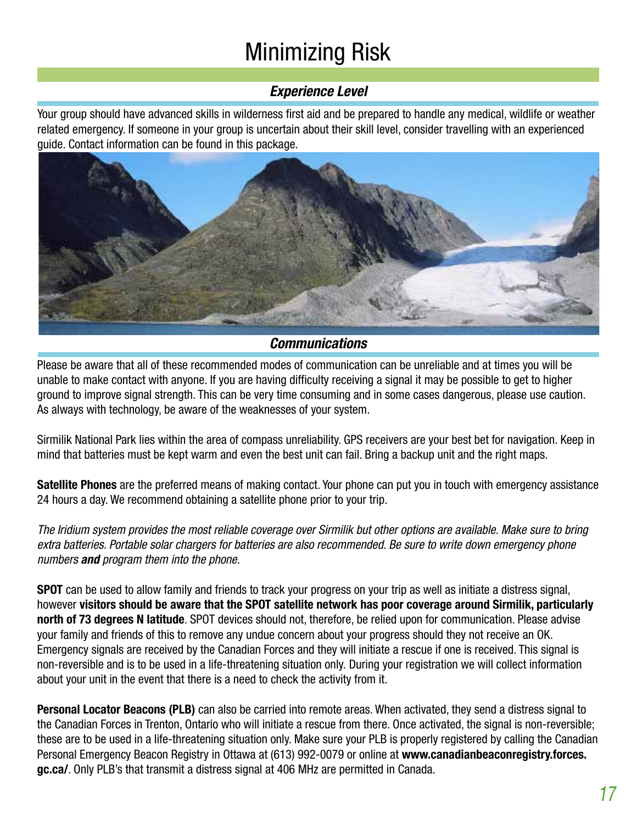## Minimizing Risk

#### **Experience Level**

Your group should have advanced skills in wilderness first aid and be prepared to handle any medical, wildlife or weather related emergency. If someone in your group is uncertain about their skill level, consider travelling with an experienced guide. Contact information can be found in this package.



#### **Communications**

Please be aware that all of these recommended modes of communication can be unreliable and at times you will be unable to make contact with anyone. If you are having difficulty receiving a signal it may be possible to get to higher ground to improve signal strength. This can be very time consuming and in some cases dangerous, please use caution. As always with technology, be aware of the weaknesses of your system.

Sirmilik National Park lies within the area of compass unreliability. GPS receivers are your best bet for navigation. Keep in mind that batteries must be kept warm and even the best unit can fail. Bring a backup unit and the right maps.

**Satellite Phones** are the preferred means of making contact. Your phone can put you in touch with emergency assistance 24 hours a day. We recommend obtaining a satellite phone prior to your trip.

The Iridium system provides the most reliable coverage over Sirmilik but other options are available. Make sure to bring extra batteries. Portable solar chargers for batteries are also recommended. Be sure to write down emergency phone numbers **and** program them into the phone.

**SPOT** can be used to allow family and friends to track your progress on your trip as well as initiate a distress signal, however **visitors should be aware that the SPOT satellite network has poor coverage around Sirmilik, particularly north of 73 degrees N latitude**. SPOT devices should not, therefore, be relied upon for communication. Please advise your family and friends of this to remove any undue concern about your progress should they not receive an OK. Emergency signals are received by the Canadian Forces and they will initiate a rescue if one is received. This signal is non-reversible and is to be used in a life-threatening situation only. During your registration we will collect information about your unit in the event that there is a need to check the activity from it.

**Personal Locator Beacons (PLB)** can also be carried into remote areas. When activated, they send a distress signal to the Canadian Forces in Trenton, Ontario who will initiate a rescue from there. Once activated, the signal is non-reversible; these are to be used in a life-threatening situation only. Make sure your PLB is properly registered by calling the Canadian Personal Emergency Beacon Registry in Ottawa at (613) 992-0079 or online at **www.canadianbeaconregistry.forces. gc.ca/**. Only PLB's that transmit a distress signal at 406 MHz are permitted in Canada.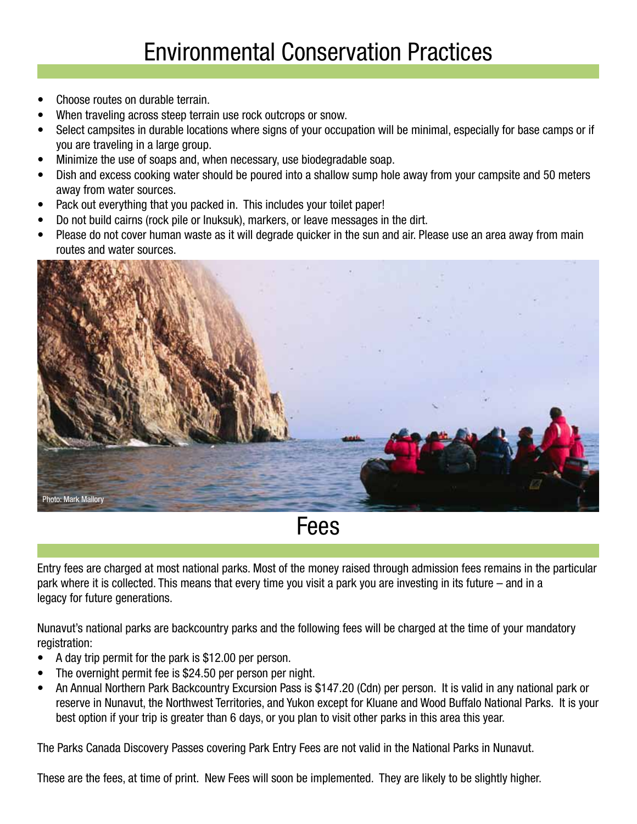- Choose routes on durable terrain.
- When traveling across steep terrain use rock outcrops or snow.
- Select campsites in durable locations where signs of your occupation will be minimal, especially for base camps or if you are traveling in a large group.
- Minimize the use of soaps and, when necessary, use biodegradable soap.
- Dish and excess cooking water should be poured into a shallow sump hole away from your campsite and 50 meters away from water sources.
- Pack out everything that you packed in. This includes your toilet paper!
- Do not build cairns (rock pile or Inuksuk), markers, or leave messages in the dirt.
- Please do not cover human waste as it will degrade quicker in the sun and air. Please use an area away from main routes and water sources.



Fees

Entry fees are charged at most national parks. Most of the money raised through admission fees remains in the particular park where it is collected. This means that every time you visit a park you are investing in its future – and in a legacy for future generations.

Nunavut's national parks are backcountry parks and the following fees will be charged at the time of your mandatory registration:

- A day trip permit for the park is \$12.00 per person.
- The overnight permit fee is \$24.50 per person per night.
- An Annual Northern Park Backcountry Excursion Pass is \$147.20 (Cdn) per person. It is valid in any national park or reserve in Nunavut, the Northwest Territories, and Yukon except for Kluane and Wood Buffalo National Parks. It is your best option if your trip is greater than 6 days, or you plan to visit other parks in this area this year.

The Parks Canada Discovery Passes covering Park Entry Fees are not valid in the National Parks in Nunavut.

These are the fees, at time of print. New Fees will soon be implemented. They are likely to be slightly higher.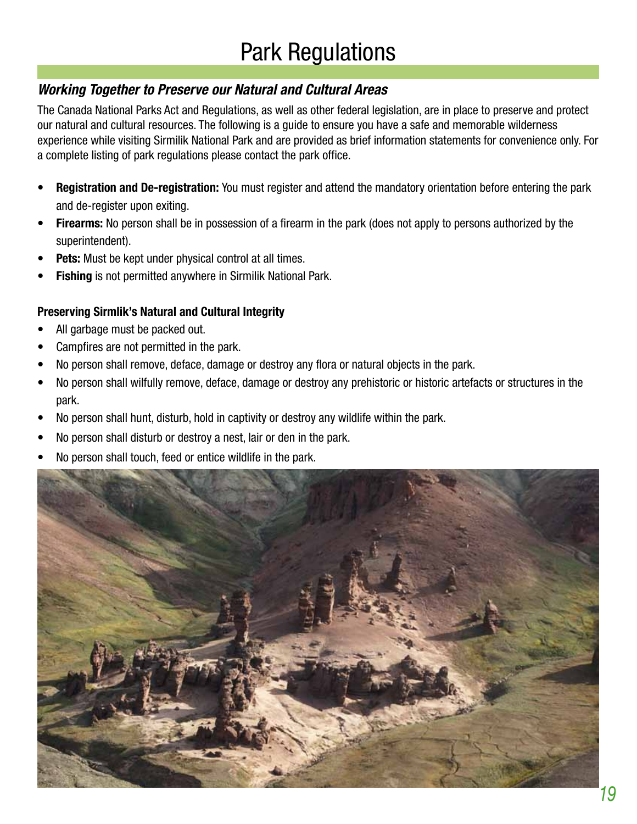## Park Regulations

#### **Working Together to Preserve our Natural and Cultural Areas**

The Canada National Parks Act and Regulations, as well as other federal legislation, are in place to preserve and protect our natural and cultural resources. The following is a guide to ensure you have a safe and memorable wilderness experience while visiting Sirmilik National Park and are provided as brief information statements for convenience only. For a complete listing of park regulations please contact the park office.

- **Registration and De-registration:** You must register and attend the mandatory orientation before entering the park and de-register upon exiting.
- **Firearms:** No person shall be in possession of a firearm in the park (does not apply to persons authorized by the superintendent).
- **Pets:** Must be kept under physical control at all times.
- **Fishing** is not permitted anywhere in Sirmilik National Park.

#### **Preserving Sirmlik's Natural and Cultural Integrity**

- All garbage must be packed out.
- Campfires are not permitted in the park.
- No person shall remove, deface, damage or destroy any flora or natural objects in the park.
- No person shall wilfully remove, deface, damage or destroy any prehistoric or historic artefacts or structures in the park.
- No person shall hunt, disturb, hold in captivity or destroy any wildlife within the park.
- No person shall disturb or destroy a nest, lair or den in the park.
- No person shall touch, feed or entice wildlife in the park.